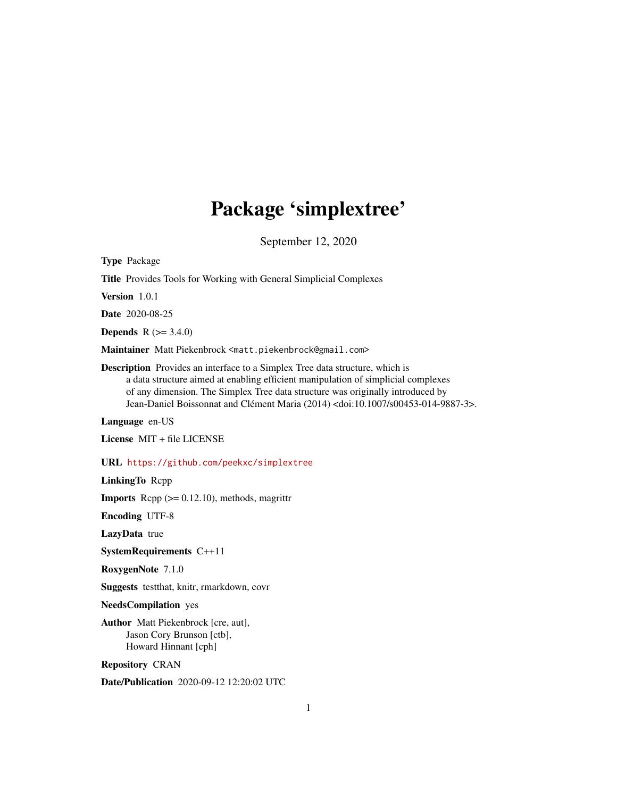# Package 'simplextree'

September 12, 2020

<span id="page-0-0"></span>Type Package

Title Provides Tools for Working with General Simplicial Complexes

Version 1.0.1

Date 2020-08-25

**Depends**  $R (= 3.4.0)$ 

Maintainer Matt Piekenbrock <matt.piekenbrock@gmail.com>

Description Provides an interface to a Simplex Tree data structure, which is a data structure aimed at enabling efficient manipulation of simplicial complexes of any dimension. The Simplex Tree data structure was originally introduced by Jean-Daniel Boissonnat and Clément Maria (2014) <doi:10.1007/s00453-014-9887-3>.

Language en-US

License MIT + file LICENSE

URL <https://github.com/peekxc/simplextree>

LinkingTo Rcpp

**Imports** Rcpp  $(>= 0.12.10)$ , methods, magrittr

Encoding UTF-8

LazyData true

SystemRequirements C++11

RoxygenNote 7.1.0

Suggests testthat, knitr, rmarkdown, covr

NeedsCompilation yes

Author Matt Piekenbrock [cre, aut], Jason Cory Brunson [ctb], Howard Hinnant [cph]

Repository CRAN

Date/Publication 2020-09-12 12:20:02 UTC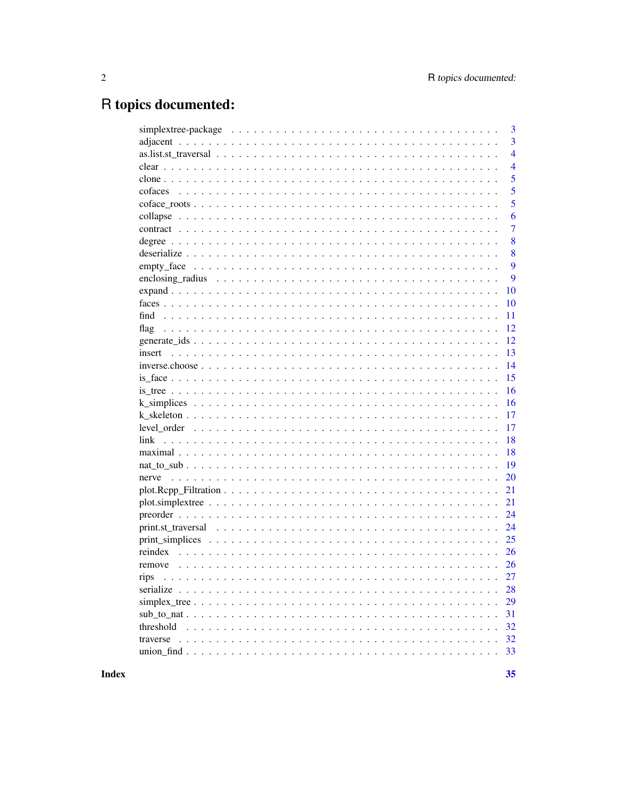# R topics documented:

|                                                                                                               | 3              |
|---------------------------------------------------------------------------------------------------------------|----------------|
|                                                                                                               | 3              |
|                                                                                                               | $\overline{4}$ |
|                                                                                                               | $\overline{4}$ |
|                                                                                                               | 5              |
|                                                                                                               | 5              |
|                                                                                                               | 5              |
|                                                                                                               | 6              |
|                                                                                                               | 7              |
|                                                                                                               | 8              |
|                                                                                                               | 8              |
| $empty\_face \dots \dots \dots \dots \dots \dots \dots \dots \dots \dots \dots \dots \dots \dots \dots \dots$ | 9              |
|                                                                                                               | 9              |
|                                                                                                               | 10             |
|                                                                                                               | 10             |
|                                                                                                               | 11             |
|                                                                                                               | 12             |
|                                                                                                               | 12             |
|                                                                                                               | 13             |
|                                                                                                               | 14             |
|                                                                                                               | 15             |
|                                                                                                               | 16             |
|                                                                                                               | 16             |
|                                                                                                               | 17             |
|                                                                                                               | 17             |
| link                                                                                                          | 18             |
|                                                                                                               | 18             |
|                                                                                                               | 19             |
|                                                                                                               | 20             |
|                                                                                                               | 21             |
|                                                                                                               | 21             |
|                                                                                                               | 24             |
|                                                                                                               | 24             |
|                                                                                                               | 25             |
|                                                                                                               | 26             |
| remove                                                                                                        | 26             |
| rips                                                                                                          | 27             |
|                                                                                                               | 28             |
|                                                                                                               | 29             |
|                                                                                                               | 31             |
| threshold                                                                                                     | 32             |
|                                                                                                               | 32             |
| traverse                                                                                                      |                |
|                                                                                                               | 33             |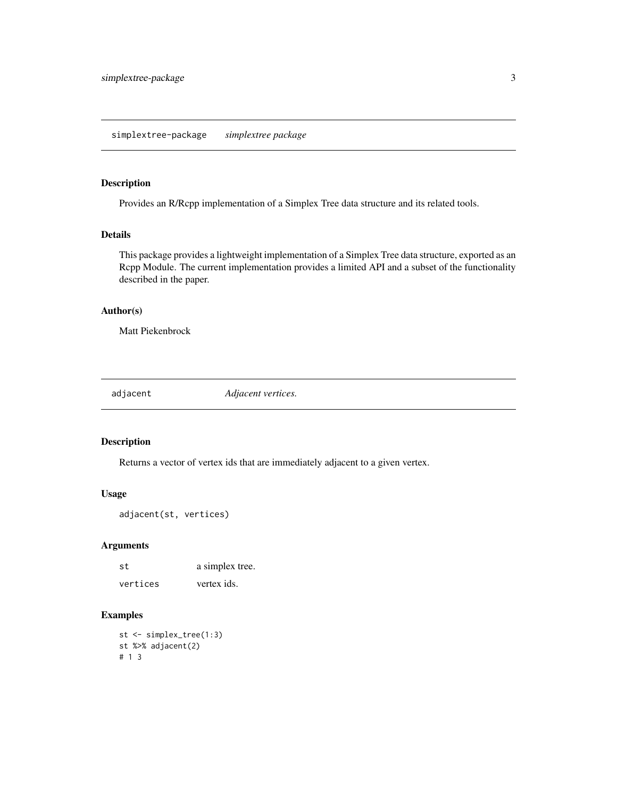<span id="page-2-0"></span>simplextree-package *simplextree package*

### Description

Provides an R/Rcpp implementation of a Simplex Tree data structure and its related tools.

#### Details

This package provides a lightweight implementation of a Simplex Tree data structure, exported as an Rcpp Module. The current implementation provides a limited API and a subset of the functionality described in the paper.

### Author(s)

Matt Piekenbrock

<span id="page-2-1"></span>adjacent *Adjacent vertices.*

### Description

Returns a vector of vertex ids that are immediately adjacent to a given vertex.

#### Usage

```
adjacent(st, vertices)
```
#### Arguments

| st       | a simplex tree. |
|----------|-----------------|
| vertices | vertex ids.     |

```
st <- simplex_tree(1:3)
st %>% adjacent(2)
# 1 3
```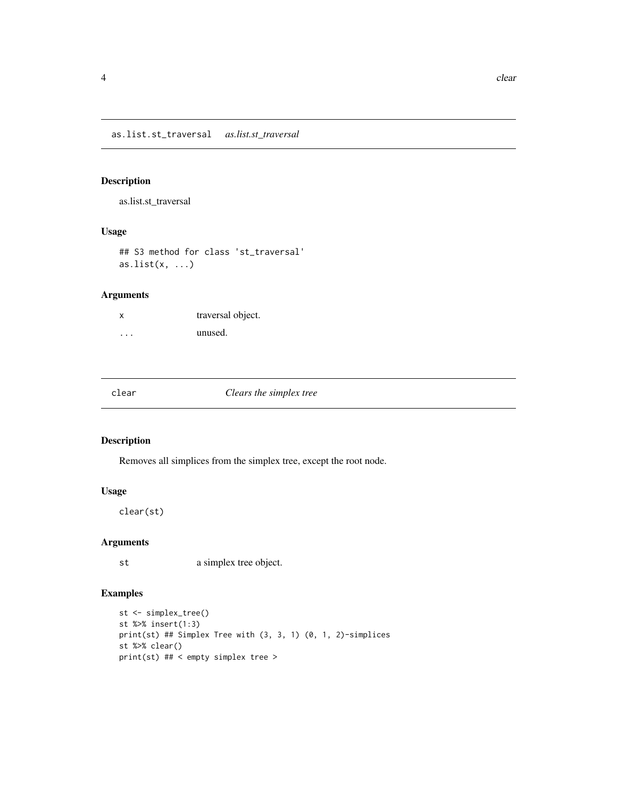<span id="page-3-0"></span>as.list.st\_traversal *as.list.st\_traversal*

### Description

as.list.st\_traversal

### Usage

## S3 method for class 'st\_traversal' as.list $(x, \ldots)$ 

### Arguments

| x                       | traversal object. |
|-------------------------|-------------------|
| $\cdot$ $\cdot$ $\cdot$ | unused.           |

clear *Clears the simplex tree*

### Description

Removes all simplices from the simplex tree, except the root node.

### Usage

clear(st)

### Arguments

st a simplex tree object.

```
st <- simplex_tree()
st %>% insert(1:3)
print(st) ## Simplex Tree with (3, 3, 1) (0, 1, 2)-simplices
st %>% clear()
print(st) ## < empty simplex tree >
```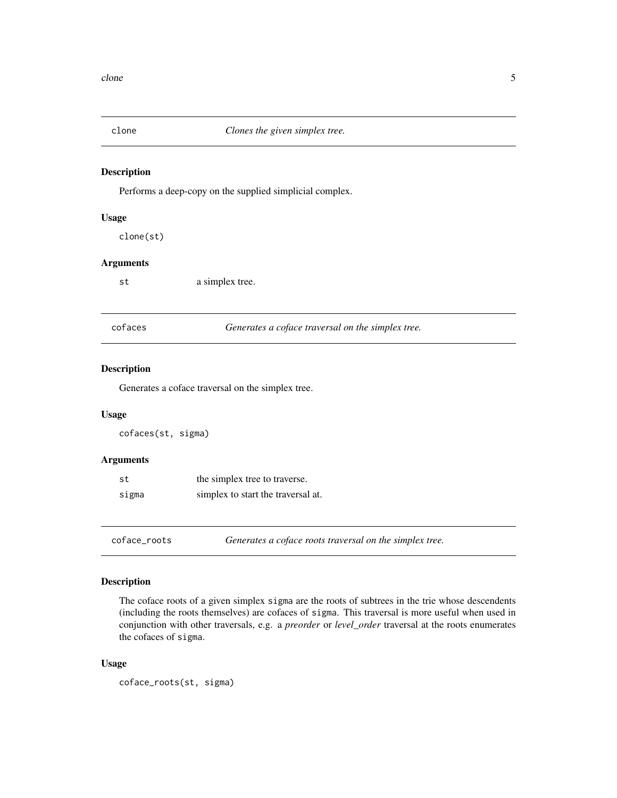<span id="page-4-0"></span>

Performs a deep-copy on the supplied simplicial complex.

#### Usage

clone(st)

### Arguments

st a simplex tree.

<span id="page-4-1"></span>

| cofaces | Generates a coface traversal on the simplex tree. |  |
|---------|---------------------------------------------------|--|
|---------|---------------------------------------------------|--|

#### Description

Generates a coface traversal on the simplex tree.

### Usage

cofaces(st, sigma)

### Arguments

| .st   | the simplex tree to traverse.      |
|-------|------------------------------------|
| sigma | simplex to start the traversal at. |

coface\_roots *Generates a coface roots traversal on the simplex tree.*

### Description

The coface roots of a given simplex sigma are the roots of subtrees in the trie whose descendents (including the roots themselves) are cofaces of sigma. This traversal is more useful when used in conjunction with other traversals, e.g. a *preorder* or *level\_order* traversal at the roots enumerates the cofaces of sigma.

#### Usage

```
coface_roots(st, sigma)
```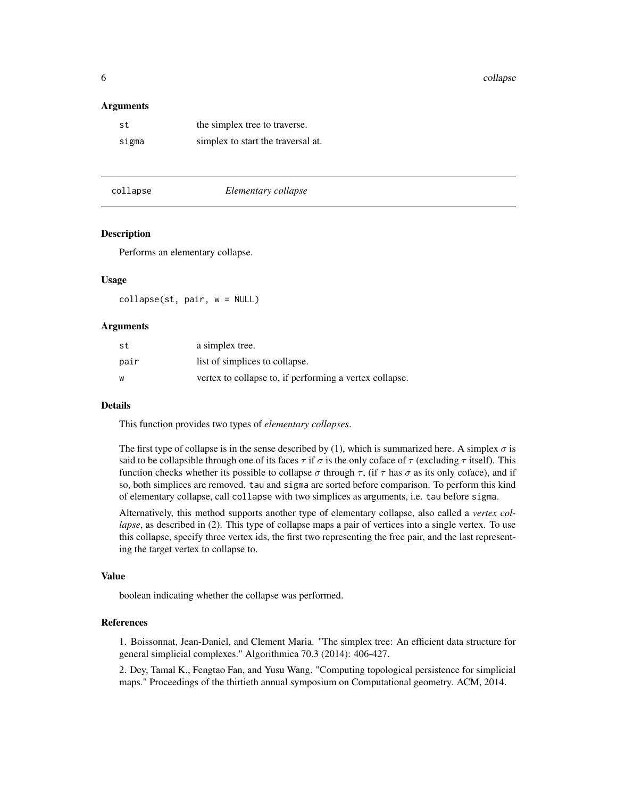<span id="page-5-0"></span>6 collapse control of the collapse collapse collapse collapse collapse collapse

#### Arguments

| .st   | the simplex tree to traverse.      |
|-------|------------------------------------|
| sigma | simplex to start the traversal at. |

<span id="page-5-1"></span>

#### collapse *Elementary collapse*

#### Description

Performs an elementary collapse.

#### Usage

collapse(st, pair, w = NULL)

#### Arguments

| st   | a simplex tree.                                         |
|------|---------------------------------------------------------|
| pair | list of simplices to collapse.                          |
| w    | vertex to collapse to, if performing a vertex collapse. |

#### Details

This function provides two types of *elementary collapses*.

The first type of collapse is in the sense described by (1), which is summarized here. A simplex  $\sigma$  is said to be collapsible through one of its faces  $\tau$  if  $\sigma$  is the only coface of  $\tau$  (excluding  $\tau$  itself). This function checks whether its possible to collapse  $\sigma$  through  $\tau$ , (if  $\tau$  has  $\sigma$  as its only coface), and if so, both simplices are removed. tau and sigma are sorted before comparison. To perform this kind of elementary collapse, call collapse with two simplices as arguments, i.e. tau before sigma.

Alternatively, this method supports another type of elementary collapse, also called a *vertex collapse*, as described in (2). This type of collapse maps a pair of vertices into a single vertex. To use this collapse, specify three vertex ids, the first two representing the free pair, and the last representing the target vertex to collapse to.

#### Value

boolean indicating whether the collapse was performed.

#### References

1. Boissonnat, Jean-Daniel, and Clement Maria. "The simplex tree: An efficient data structure for general simplicial complexes." Algorithmica 70.3 (2014): 406-427.

2. Dey, Tamal K., Fengtao Fan, and Yusu Wang. "Computing topological persistence for simplicial maps." Proceedings of the thirtieth annual symposium on Computational geometry. ACM, 2014.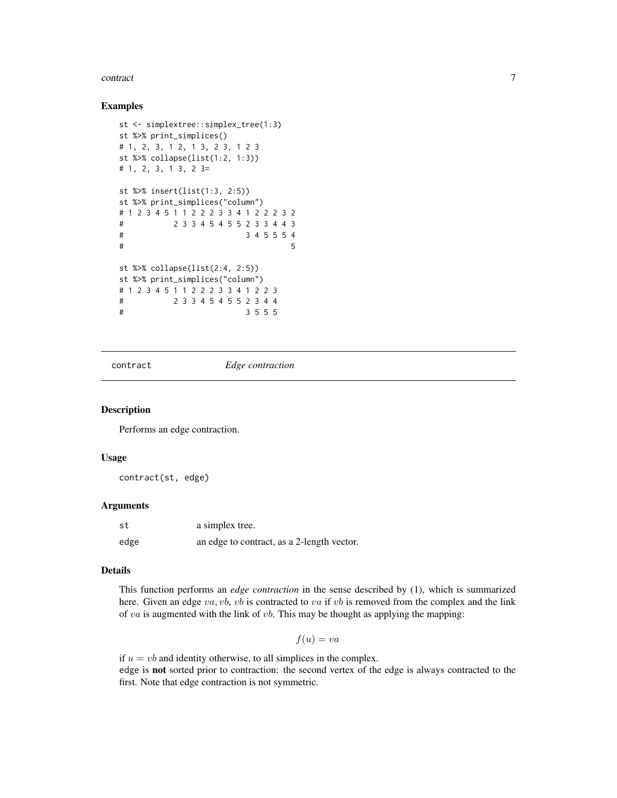#### <span id="page-6-0"></span>contract 7 and 7 and 7 and 7 and 7 and 7 and 7 and 7 and 7 and 7 and 7 and 7 and 7 and 7 and 7 and 7 and 7 and 7 and 7 and 7 and 7 and 7 and 7 and 7 and 7 and 7 and 7 and 7 and 7 and 7 and 7 and 7 and 7 and 7 and 7 and 7 a

#### Examples

```
st <- simplextree::simplex_tree(1:3)
st %>% print_simplices()
# 1, 2, 3, 1 2, 1 3, 2 3, 1 2 3
st %>% collapse(list(1:2, 1:3))
# 1, 2, 3, 1 3, 2 3=
st %>% insert(list(1:3, 2:5))
st %>% print_simplices("column")
# 1 2 3 4 5 1 1 2 2 2 3 3 4 1 2 2 2 3 2
# 2 3 3 4 5 4 5 5 2 3 3 4 4 3
# 3 4 5 5 5 4
\# 5
st %>% collapse(list(2:4, 2:5))
st %>% print_simplices("column")
# 1 2 3 4 5 1 1 2 2 2 3 3 4 1 2 2 3
# 2 3 3 4 5 4 5 5 2 3 4 4
# 3 5 5 5
```
<span id="page-6-1"></span>contract *Edge contraction*

### Description

Performs an edge contraction.

#### Usage

contract(st, edge)

#### Arguments

| st   | a simplex tree.                            |
|------|--------------------------------------------|
| edge | an edge to contract, as a 2-length vector. |

#### Details

This function performs an *edge contraction* in the sense described by (1), which is summarized here. Given an edge  $va$ ,  $vb$ ,  $vb$  is contracted to  $va$  if  $vb$  is removed from the complex and the link of va is augmented with the link of vb. This may be thought as applying the mapping:

 $f(u) = va$ 

if  $u = vb$  and identity otherwise, to all simplices in the complex. edge is not sorted prior to contraction: the second vertex of the edge is always contracted to the first. Note that edge contraction is not symmetric.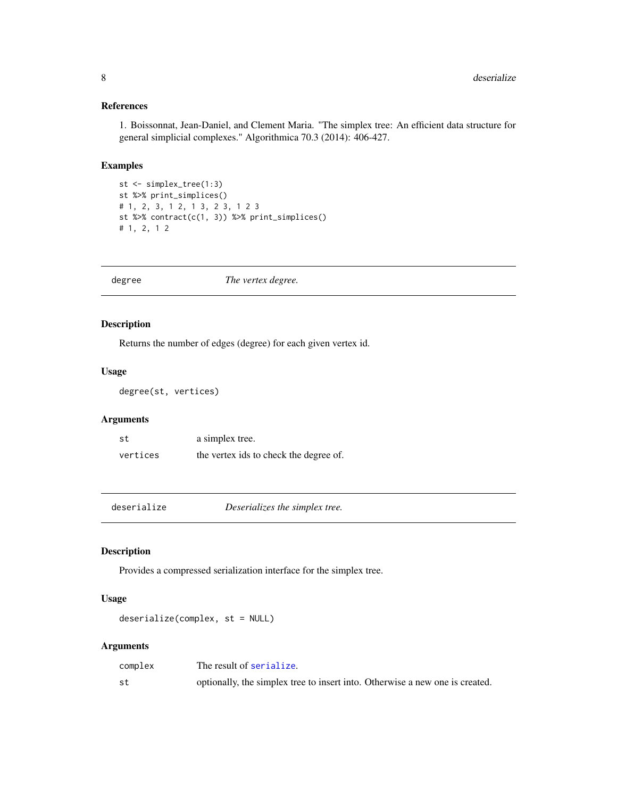### References

1. Boissonnat, Jean-Daniel, and Clement Maria. "The simplex tree: An efficient data structure for general simplicial complexes." Algorithmica 70.3 (2014): 406-427.

### Examples

```
st <- simplex_tree(1:3)
st %>% print_simplices()
# 1, 2, 3, 1 2, 1 3, 2 3, 1 2 3
st %>% contract(c(1, 3)) %>% print_simplices()
# 1, 2, 1 2
```
<span id="page-7-2"></span>

| The vertex degree.<br>degree |
|------------------------------|
|------------------------------|

### Description

Returns the number of edges (degree) for each given vertex id.

### Usage

degree(st, vertices)

### Arguments

| st       | a simplex tree.                        |
|----------|----------------------------------------|
| vertices | the vertex ids to check the degree of. |

<span id="page-7-1"></span>deserialize *Deserializes the simplex tree.*

### Description

Provides a compressed serialization interface for the simplex tree.

### Usage

deserialize(complex, st = NULL)

| complex | The result of serialize.                                                     |
|---------|------------------------------------------------------------------------------|
| st      | optionally, the simplex tree to insert into. Otherwise a new one is created. |

<span id="page-7-0"></span>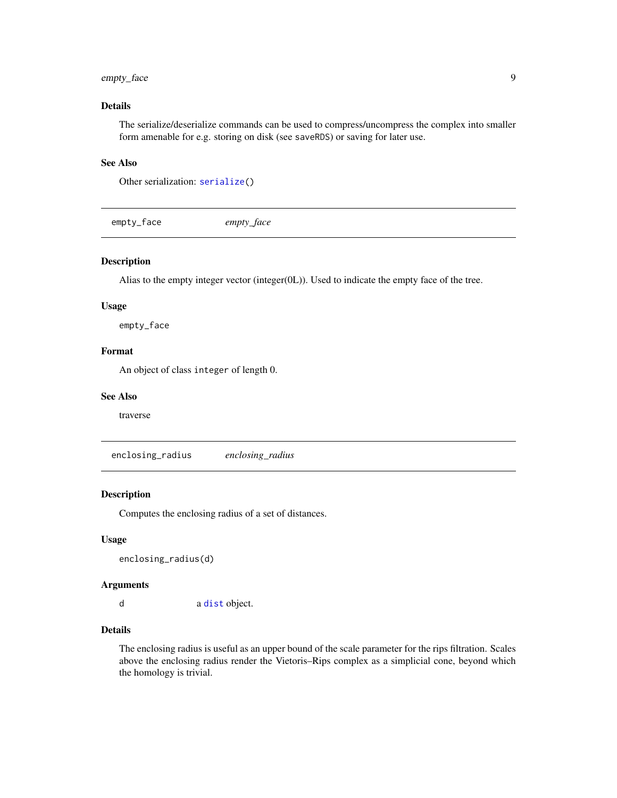### <span id="page-8-0"></span>empty\_face 9

### Details

The serialize/deserialize commands can be used to compress/uncompress the complex into smaller form amenable for e.g. storing on disk (see saveRDS) or saving for later use.

### See Also

Other serialization: [serialize\(](#page-27-1))

empty\_face *empty\_face*

### Description

Alias to the empty integer vector (integer(0L)). Used to indicate the empty face of the tree.

#### Usage

empty\_face

#### Format

An object of class integer of length 0.

#### See Also

traverse

enclosing\_radius *enclosing\_radius*

#### Description

Computes the enclosing radius of a set of distances.

#### Usage

enclosing\_radius(d)

#### Arguments

d a [dist](#page-0-0) object.

#### Details

The enclosing radius is useful as an upper bound of the scale parameter for the rips filtration. Scales above the enclosing radius render the Vietoris–Rips complex as a simplicial cone, beyond which the homology is trivial.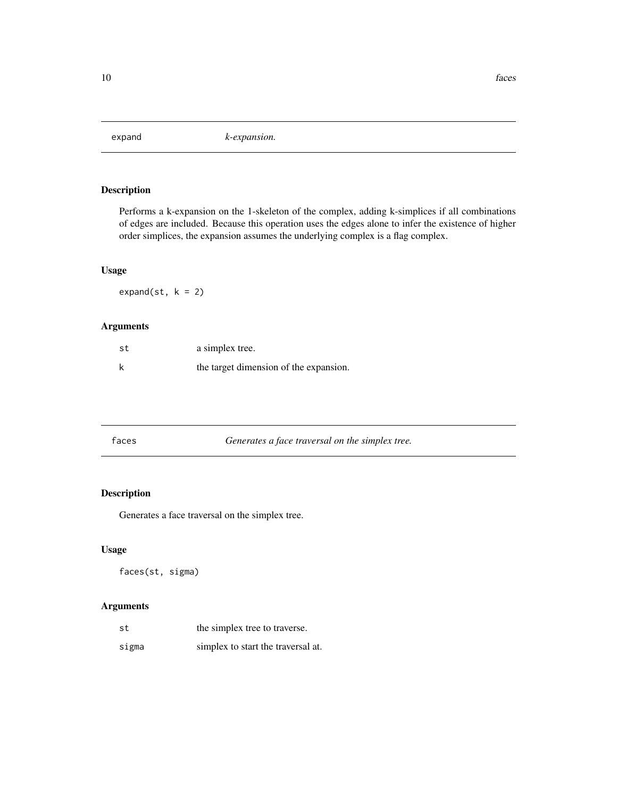<span id="page-9-1"></span><span id="page-9-0"></span>

Performs a k-expansion on the 1-skeleton of the complex, adding k-simplices if all combinations of edges are included. Because this operation uses the edges alone to infer the existence of higher order simplices, the expansion assumes the underlying complex is a flag complex.

### Usage

expand(st,  $k = 2$ )

### Arguments

| st | a simplex tree.                        |
|----|----------------------------------------|
|    | the target dimension of the expansion. |

| Generates a face traversal on the simplex tree.<br>faces |
|----------------------------------------------------------|
|----------------------------------------------------------|

### Description

Generates a face traversal on the simplex tree.

#### Usage

faces(st, sigma)

| st    | the simplex tree to traverse.      |
|-------|------------------------------------|
| sigma | simplex to start the traversal at. |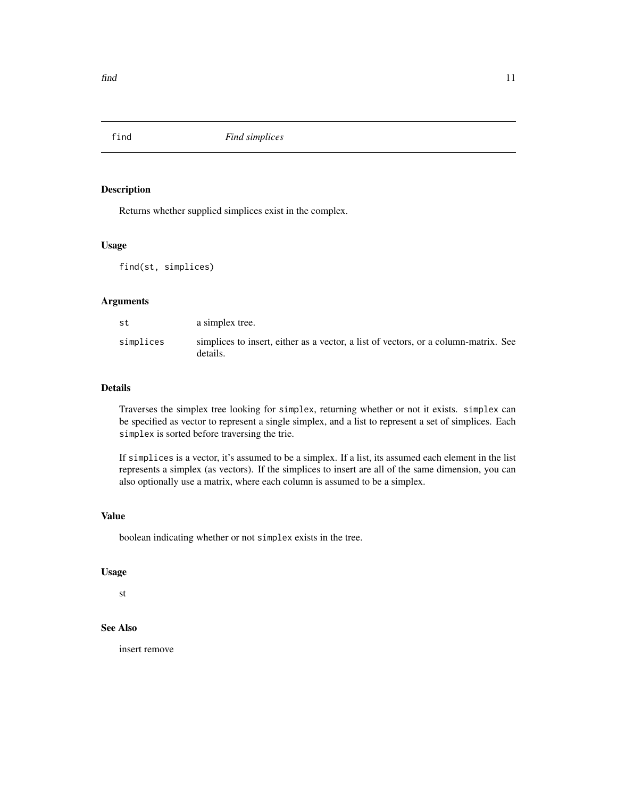<span id="page-10-1"></span><span id="page-10-0"></span>

Returns whether supplied simplices exist in the complex.

### Usage

find(st, simplices)

#### Arguments

| st        | a simplex tree.                                                                                 |
|-----------|-------------------------------------------------------------------------------------------------|
| simplices | simplices to insert, either as a vector, a list of vectors, or a column-matrix. See<br>details. |

#### Details

Traverses the simplex tree looking for simplex, returning whether or not it exists. simplex can be specified as vector to represent a single simplex, and a list to represent a set of simplices. Each simplex is sorted before traversing the trie.

If simplices is a vector, it's assumed to be a simplex. If a list, its assumed each element in the list represents a simplex (as vectors). If the simplices to insert are all of the same dimension, you can also optionally use a matrix, where each column is assumed to be a simplex.

#### Value

boolean indicating whether or not simplex exists in the tree.

#### Usage

st

### See Also

insert remove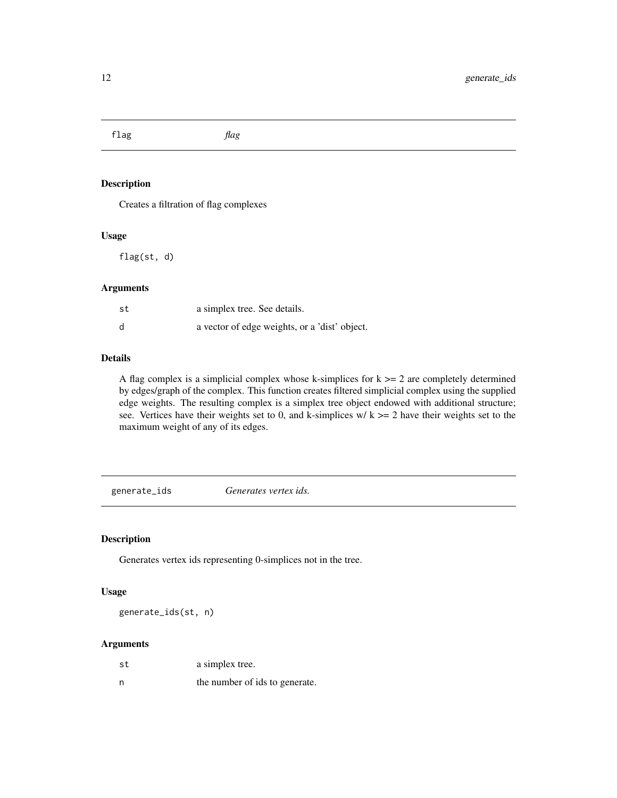<span id="page-11-0"></span>flag *flag*

### Description

Creates a filtration of flag complexes

#### Usage

flag(st, d)

#### Arguments

| st | a simplex tree. See details.                  |
|----|-----------------------------------------------|
| d  | a vector of edge weights, or a 'dist' object. |

#### Details

A flag complex is a simplicial complex whose k-simplices for  $k \geq 2$  are completely determined by edges/graph of the complex. This function creates filtered simplicial complex using the supplied edge weights. The resulting complex is a simplex tree object endowed with additional structure; see. Vertices have their weights set to 0, and k-simplices w/ $k \ge 2$  have their weights set to the maximum weight of any of its edges.

<span id="page-11-1"></span>generate\_ids *Generates vertex ids.*

### Description

Generates vertex ids representing 0-simplices not in the tree.

#### Usage

generate\_ids(st, n)

| st | a simplex tree.                |
|----|--------------------------------|
| n  | the number of ids to generate. |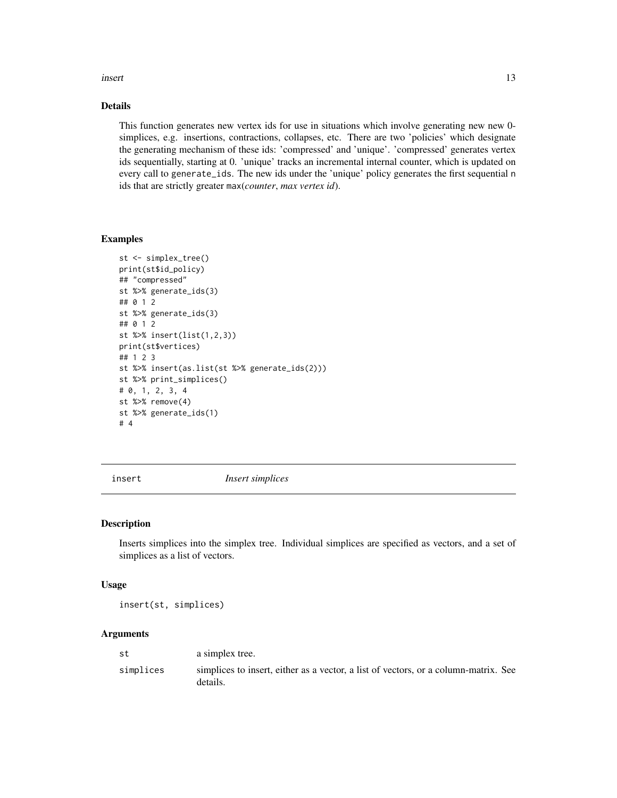#### <span id="page-12-0"></span>insert and the contract of the contract of the contract of the contract of the contract of the contract of the contract of the contract of the contract of the contract of the contract of the contract of the contract of the

### Details

This function generates new vertex ids for use in situations which involve generating new new 0 simplices, e.g. insertions, contractions, collapses, etc. There are two 'policies' which designate the generating mechanism of these ids: 'compressed' and 'unique'. 'compressed' generates vertex ids sequentially, starting at 0. 'unique' tracks an incremental internal counter, which is updated on every call to generate\_ids. The new ids under the 'unique' policy generates the first sequential n ids that are strictly greater max(*counter*, *max vertex id*).

#### Examples

```
st <- simplex_tree()
print(st$id_policy)
## "compressed"
st %>% generate_ids(3)
## 0 1 2
st %>% generate_ids(3)
## 0 1 2
st %>% insert(list(1,2,3))
print(st$vertices)
## 1 2 3
st %>% insert(as.list(st %>% generate_ids(2)))
st %>% print_simplices()
# 0, 1, 2, 3, 4
st %>% remove(4)
st %>% generate_ids(1)
# 4
```
<span id="page-12-1"></span>

insert *Insert simplices*

#### Description

Inserts simplices into the simplex tree. Individual simplices are specified as vectors, and a set of simplices as a list of vectors.

#### Usage

insert(st, simplices)

| st        | a simplex tree.                                                                                 |
|-----------|-------------------------------------------------------------------------------------------------|
| simplices | simplices to insert, either as a vector, a list of vectors, or a column-matrix. See<br>details. |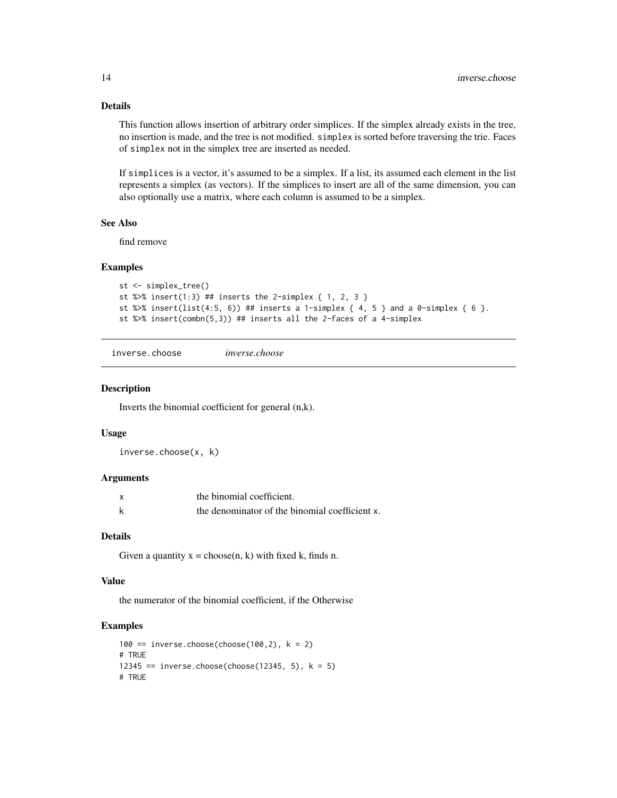#### Details

This function allows insertion of arbitrary order simplices. If the simplex already exists in the tree, no insertion is made, and the tree is not modified. simplex is sorted before traversing the trie. Faces of simplex not in the simplex tree are inserted as needed.

If simplices is a vector, it's assumed to be a simplex. If a list, its assumed each element in the list represents a simplex (as vectors). If the simplices to insert are all of the same dimension, you can also optionally use a matrix, where each column is assumed to be a simplex.

### See Also

find remove

#### Examples

```
st <- simplex_tree()
st %>% insert(1:3) ## inserts the 2-simplex { 1, 2, 3 }
st %>% insert(list(4:5, 6)) ## inserts a 1-simplex { 4, 5 } and a 0-simplex { 6 }.
st %>% insert(combn(5,3)) ## inserts all the 2-faces of a 4-simplex
```
inverse.choose *inverse.choose*

#### Description

Inverts the binomial coefficient for general (n,k).

#### Usage

inverse.choose(x, k)

#### Arguments

| $\boldsymbol{\mathsf{x}}$ | the binomial coefficient.                      |
|---------------------------|------------------------------------------------|
|                           | the denominator of the binomial coefficient x. |

#### Details

Given a quantity  $x = choose(n, k)$  with fixed k, finds n.

### Value

the numerator of the binomial coefficient, if the Otherwise

```
100 == inverse.choose(choose(100,2), k = 2)
# TRUE
12345 == inverse.choose(choose(12345, 5), k = 5)
# TRUE
```
<span id="page-13-0"></span>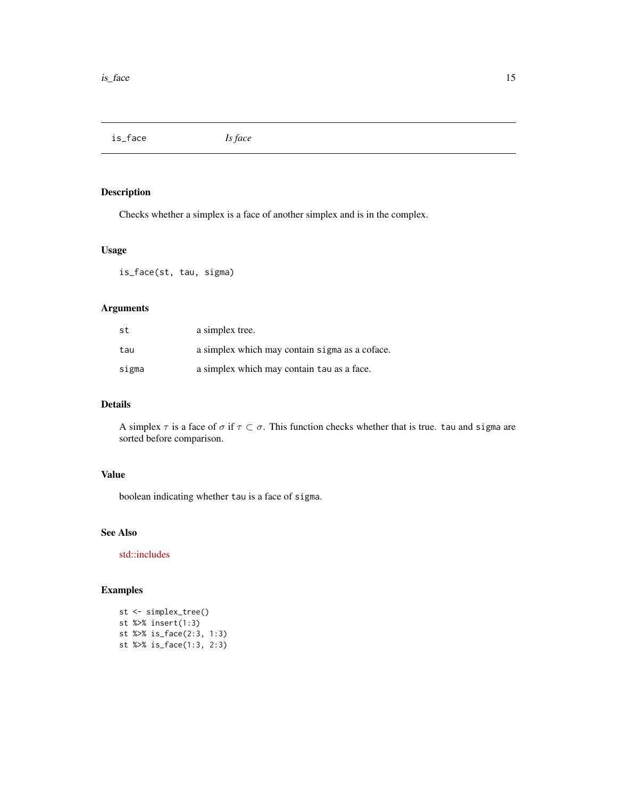<span id="page-14-1"></span><span id="page-14-0"></span>is\_face *Is face*

### Description

Checks whether a simplex is a face of another simplex and is in the complex.

#### Usage

is\_face(st, tau, sigma)

### Arguments

| st    | a simplex tree.                                |
|-------|------------------------------------------------|
| tau   | a simplex which may contain sigma as a coface. |
| sigma | a simplex which may contain tau as a face.     |

### Details

A simplex  $\tau$  is a face of  $\sigma$  if  $\tau \subset \sigma$ . This function checks whether that is true. tau and sigma are sorted before comparison.

### Value

boolean indicating whether tau is a face of sigma.

#### See Also

[std::includes](https://en.cppreference.com/w/cpp/algorithm/includes)

```
st <- simplex_tree()
st %>% insert(1:3)
st %>% is_face(2:3, 1:3)
st %>% is_face(1:3, 2:3)
```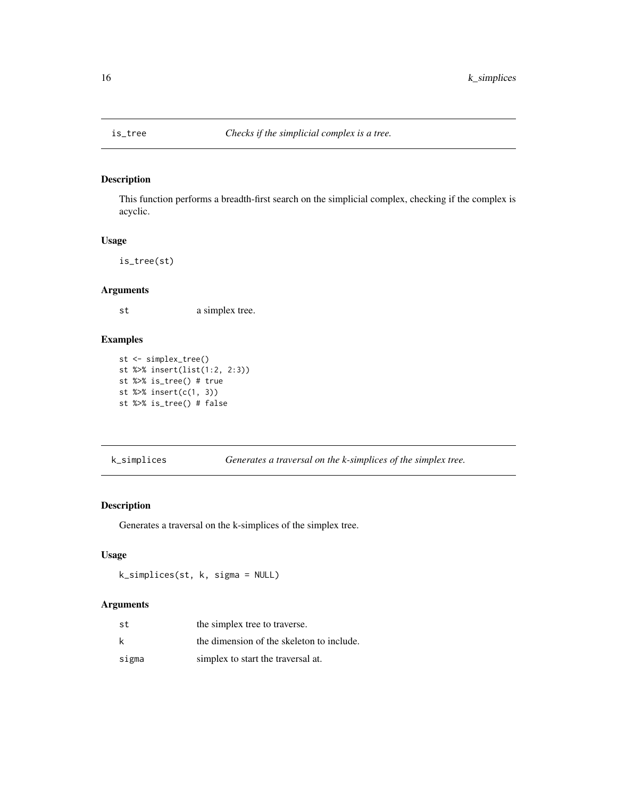<span id="page-15-1"></span><span id="page-15-0"></span>

This function performs a breadth-first search on the simplicial complex, checking if the complex is acyclic.

#### Usage

is\_tree(st)

#### Arguments

st a simplex tree.

#### Examples

```
st <- simplex_tree()
st %>% insert(list(1:2, 2:3))
st %>% is_tree() # true
st %>% insert(c(1, 3))
st %>% is_tree() # false
```
k\_simplices *Generates a traversal on the k-simplices of the simplex tree.*

#### Description

Generates a traversal on the k-simplices of the simplex tree.

#### Usage

k\_simplices(st, k, sigma = NULL)

| st    | the simplex tree to traverse.             |
|-------|-------------------------------------------|
| k     | the dimension of the skeleton to include. |
| sigma | simplex to start the traversal at.        |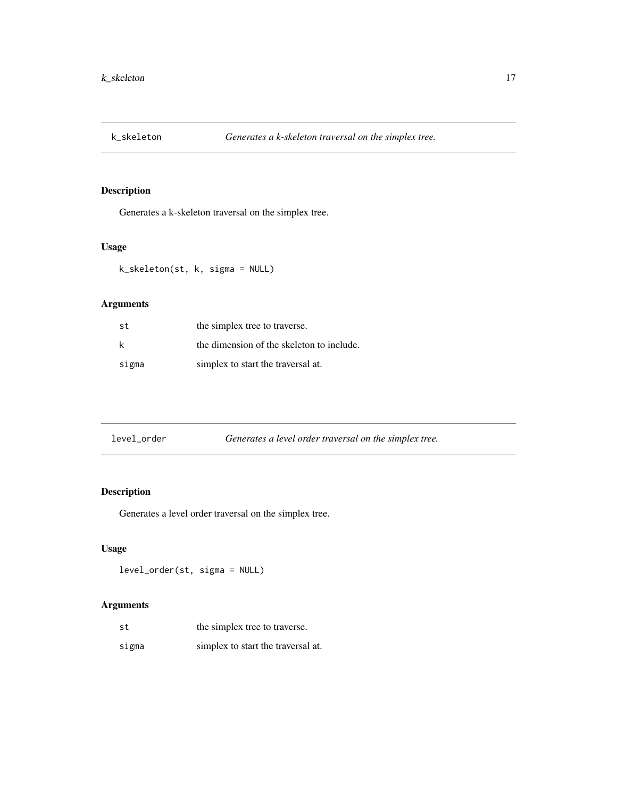<span id="page-16-0"></span>

Generates a k-skeleton traversal on the simplex tree.

### Usage

k\_skeleton(st, k, sigma = NULL)

### Arguments

| st    | the simplex tree to traverse.             |
|-------|-------------------------------------------|
| k     | the dimension of the skeleton to include. |
| sigma | simplex to start the traversal at.        |

| Generates a level order traversal on the simplex tree.<br>level order |
|-----------------------------------------------------------------------|
|-----------------------------------------------------------------------|

### Description

Generates a level order traversal on the simplex tree.

### Usage

level\_order(st, sigma = NULL)

| st    | the simplex tree to traverse.      |
|-------|------------------------------------|
| sigma | simplex to start the traversal at. |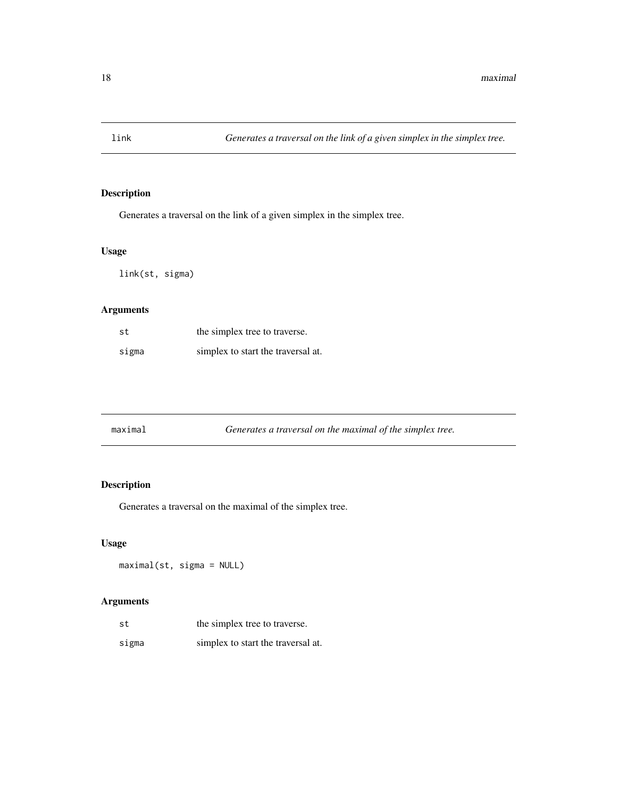<span id="page-17-0"></span>

Generates a traversal on the link of a given simplex in the simplex tree.

### Usage

link(st, sigma)

### Arguments

| st    | the simplex tree to traverse.      |
|-------|------------------------------------|
| sigma | simplex to start the traversal at. |

| maximal | Generates a traversal on the maximal of the simplex tree. |
|---------|-----------------------------------------------------------|
|---------|-----------------------------------------------------------|

### Description

Generates a traversal on the maximal of the simplex tree.

### Usage

maximal(st, sigma = NULL)

| st    | the simplex tree to traverse.      |
|-------|------------------------------------|
| sigma | simplex to start the traversal at. |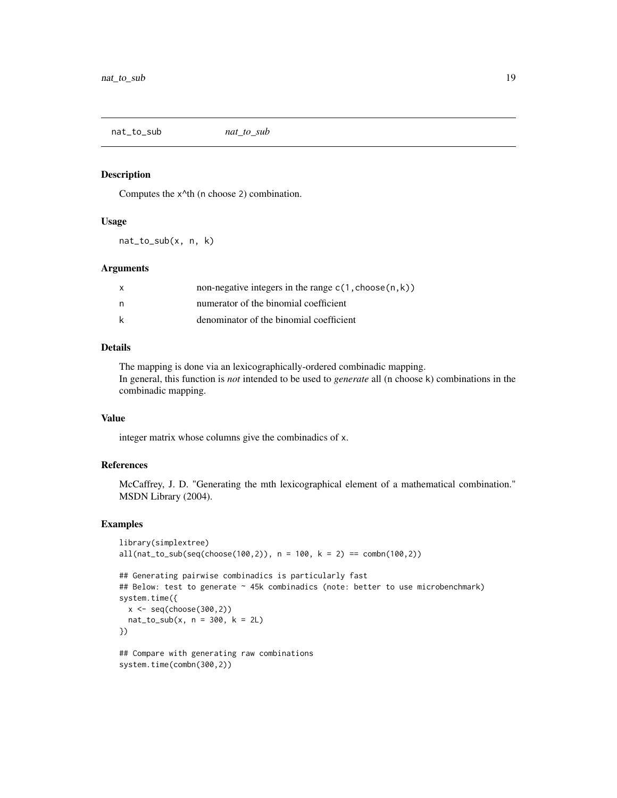<span id="page-18-0"></span>nat\_to\_sub *nat\_to\_sub*

#### Description

Computes the x^th (n choose 2) combination.

#### Usage

nat\_to\_sub(x, n, k)

#### Arguments

| X | non-negative integers in the range $c(1, choose(n, k))$ |
|---|---------------------------------------------------------|
| n | numerator of the binomial coefficient                   |
| k | denominator of the binomial coefficient                 |

#### Details

The mapping is done via an lexicographically-ordered combinadic mapping. In general, this function is *not* intended to be used to *generate* all (n choose k) combinations in the combinadic mapping.

#### Value

integer matrix whose columns give the combinadics of x.

#### References

McCaffrey, J. D. "Generating the mth lexicographical element of a mathematical combination." MSDN Library (2004).

```
library(simplextree)
all(nat_to.sub(seq(choose(100,2)), n = 100, k = 2) == comb(100,2))## Generating pairwise combinadics is particularly fast
## Below: test to generate ~ 45k combinadics (note: better to use microbenchmark)
system.time({
 x \leftarrow \text{seq}(\text{choose}(300, 2))nat_to_sub(x, n = 300, k = 2L)})
## Compare with generating raw combinations
```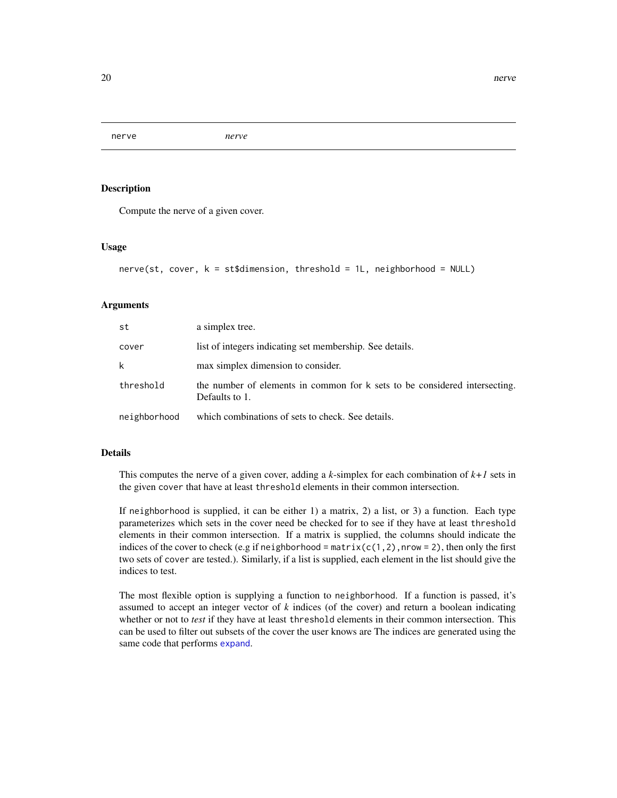<span id="page-19-0"></span>nerve *nerve*

#### Description

Compute the nerve of a given cover.

#### Usage

```
nerve(st, cover, k = st$dimension, threshold = 1L, neighborhood = NULL)
```
#### Arguments

| st           | a simplex tree.                                                                              |
|--------------|----------------------------------------------------------------------------------------------|
| cover        | list of integers indicating set membership. See details.                                     |
| k            | max simplex dimension to consider.                                                           |
| threshold    | the number of elements in common for k sets to be considered intersecting.<br>Defaults to 1. |
| neighborhood | which combinations of sets to check. See details.                                            |

#### Details

This computes the nerve of a given cover, adding a *k*-simplex for each combination of *k+1* sets in the given cover that have at least threshold elements in their common intersection.

If neighborhood is supplied, it can be either 1) a matrix, 2) a list, or 3) a function. Each type parameterizes which sets in the cover need be checked for to see if they have at least threshold elements in their common intersection. If a matrix is supplied, the columns should indicate the indices of the cover to check (e.g if neighborhood =  $matrix(c(1,2),nrow = 2)$ , then only the first two sets of cover are tested.). Similarly, if a list is supplied, each element in the list should give the indices to test.

The most flexible option is supplying a function to neighborhood. If a function is passed, it's assumed to accept an integer vector of *k* indices (of the cover) and return a boolean indicating whether or not to *test* if they have at least threshold elements in their common intersection. This can be used to filter out subsets of the cover the user knows are The indices are generated using the same code that performs [expand](#page-9-1).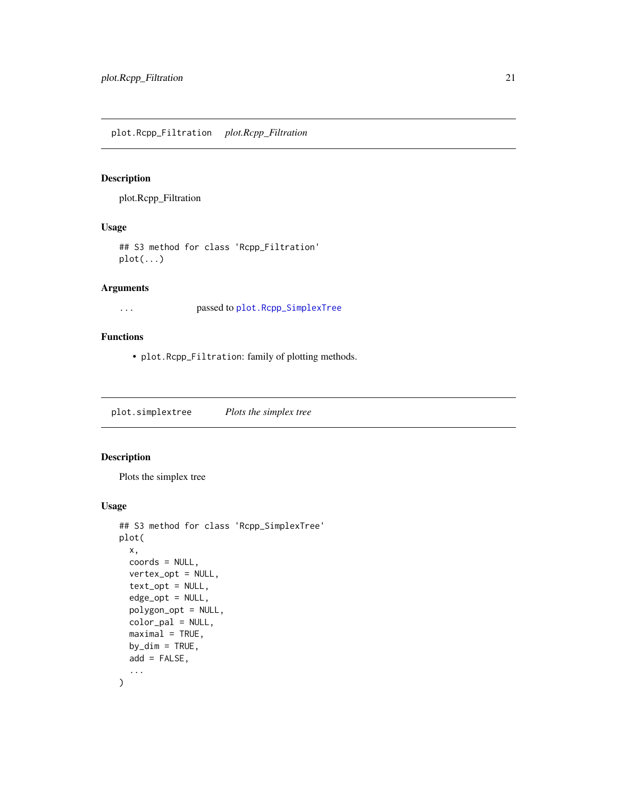<span id="page-20-0"></span>plot.Rcpp\_Filtration

### Usage

## S3 method for class 'Rcpp\_Filtration' plot(...)

### Arguments

... passed to [plot.Rcpp\\_SimplexTree](#page-20-1)

### Functions

• plot.Rcpp\_Filtration: family of plotting methods.

plot.simplextree *Plots the simplex tree*

### <span id="page-20-1"></span>Description

Plots the simplex tree

#### Usage

```
## S3 method for class 'Rcpp_SimplexTree'
plot(
 x,
 coords = NULL,
 vertex_opt = NULL,
 text_opt = NULL,
 edge_opt = NULL,
 polygon_opt = NULL,
 color_pal = NULL,
 maximal = TRUE,by\_dim = TRUE,add = FALSE,...
)
```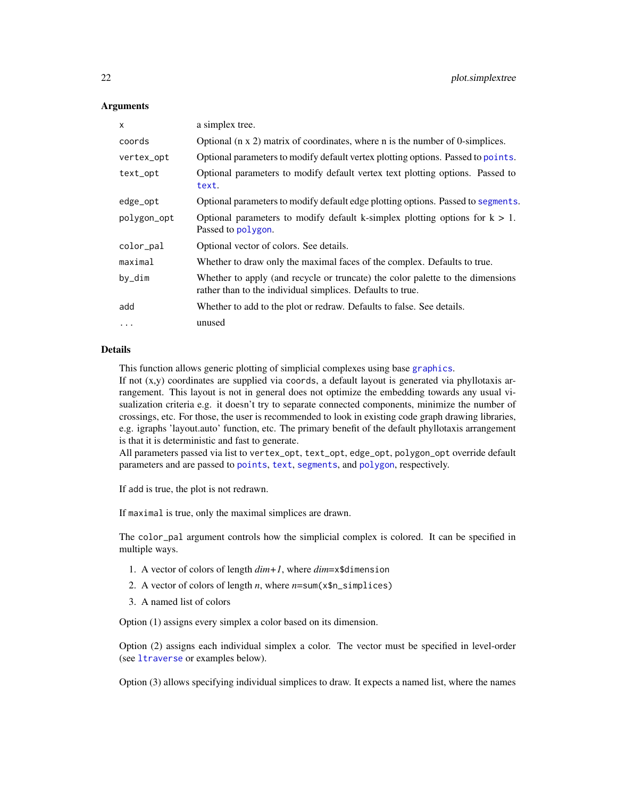#### <span id="page-21-0"></span>**Arguments**

| $\mathsf{x}$ | a simplex tree.                                                                                                                              |
|--------------|----------------------------------------------------------------------------------------------------------------------------------------------|
| coords       | Optional ( $n \times 2$ ) matrix of coordinates, where n is the number of 0-simplices.                                                       |
| vertex_opt   | Optional parameters to modify default vertex plotting options. Passed to points.                                                             |
| text_opt     | Optional parameters to modify default vertex text plotting options. Passed to<br>text.                                                       |
| edge_opt     | Optional parameters to modify default edge plotting options. Passed to segments.                                                             |
| polygon_opt  | Optional parameters to modify default k-simplex plotting options for $k > 1$ .<br>Passed to polygon.                                         |
| color_pal    | Optional vector of colors. See details.                                                                                                      |
| maximal      | Whether to draw only the maximal faces of the complex. Defaults to true.                                                                     |
| by_dim       | Whether to apply (and recycle or truncate) the color palette to the dimensions<br>rather than to the individual simplices. Defaults to true. |
| add          | Whether to add to the plot or redraw. Defaults to false. See details.                                                                        |
| $\cdots$     | unused                                                                                                                                       |

### Details

This function allows generic plotting of simplicial complexes using base [graphics](#page-0-0).

If not  $(x,y)$  coordinates are supplied via coords, a default layout is generated via phyllotaxis arrangement. This layout is not in general does not optimize the embedding towards any usual visualization criteria e.g. it doesn't try to separate connected components, minimize the number of crossings, etc. For those, the user is recommended to look in existing code graph drawing libraries, e.g. igraphs 'layout.auto' function, etc. The primary benefit of the default phyllotaxis arrangement is that it is deterministic and fast to generate.

All parameters passed via list to vertex\_opt, text\_opt, edge\_opt, polygon\_opt override default parameters and are passed to [points](#page-0-0), [text](#page-0-0), [segments](#page-0-0), and [polygon](#page-0-0), respectively.

If add is true, the plot is not redrawn.

If maximal is true, only the maximal simplices are drawn.

The color\_pal argument controls how the simplicial complex is colored. It can be specified in multiple ways.

- 1. A vector of colors of length *dim+1*, where *dim*=x\$dimension
- 2. A vector of colors of length *n*, where *n*=sum(x\$n\_simplices)
- 3. A named list of colors

Option (1) assigns every simplex a color based on its dimension.

Option (2) assigns each individual simplex a color. The vector must be specified in level-order (see [ltraverse](#page-31-1) or examples below).

Option (3) allows specifying individual simplices to draw. It expects a named list, where the names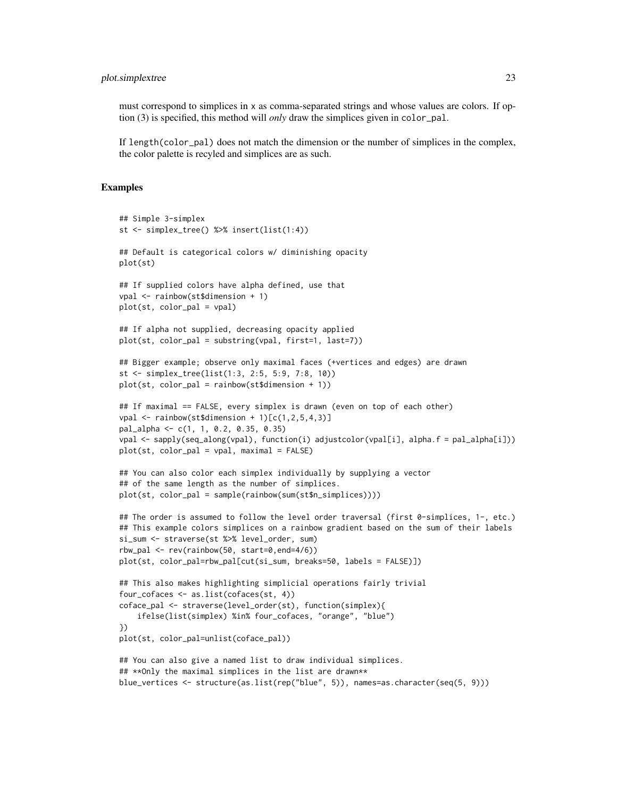#### plot.simplextree 23

must correspond to simplices in x as comma-separated strings and whose values are colors. If option (3) is specified, this method will *only* draw the simplices given in color\_pal.

If length(color\_pal) does not match the dimension or the number of simplices in the complex, the color palette is recyled and simplices are as such.

```
## Simple 3-simplex
st <- simplex_tree() %>% insert(list(1:4))
## Default is categorical colors w/ diminishing opacity
plot(st)
## If supplied colors have alpha defined, use that
vpal <- rainbow(st$dimension + 1)
plot(st, color_pal = vpal)
## If alpha not supplied, decreasing opacity applied
plot(st, color_pal = substring(vpal, first=1, last=7))
## Bigger example; observe only maximal faces (+vertices and edges) are drawn
st <- simplex_tree(list(1:3, 2:5, 5:9, 7:8, 10))
plot(st, color_pal = rainbow(st$dimension + 1))
## If maximal == FALSE, every simplex is drawn (even on top of each other)
vpal \leftarrow rainbow(st$dimension + 1)[c(1,2,5,4,3)]pal_alpha <- c(1, 1, 0.2, 0.35, 0.35)
vpal <- sapply(seq_along(vpal), function(i) adjustcolor(vpal[i], alpha.f = pal_alpha[i]))
plot(st, color_pal = vpal, maximal = FALSE)
## You can also color each simplex individually by supplying a vector
## of the same length as the number of simplices.
plot(st, color_pal = sample(rainbow(sum(st$n_simplices))))
## The order is assumed to follow the level order traversal (first 0-simplices, 1-, etc.)
## This example colors simplices on a rainbow gradient based on the sum of their labels
si_sum <- straverse(st %>% level_order, sum)
rbw\_pal \leq rev(rainbow(50, start=0, end=4/6))plot(st, color_pal=rbw_pal[cut(si_sum, breaks=50, labels = FALSE)])
## This also makes highlighting simplicial operations fairly trivial
four_cofaces <- as.list(cofaces(st, 4))
coface_pal <- straverse(level_order(st), function(simplex){
    ifelse(list(simplex) %in% four_cofaces, "orange", "blue")
})
plot(st, color_pal=unlist(coface_pal))
## You can also give a named list to draw individual simplices.
## **Only the maximal simplices in the list are drawn**
blue_vertices <- structure(as.list(rep("blue", 5)), names=as.character(seq(5, 9)))
```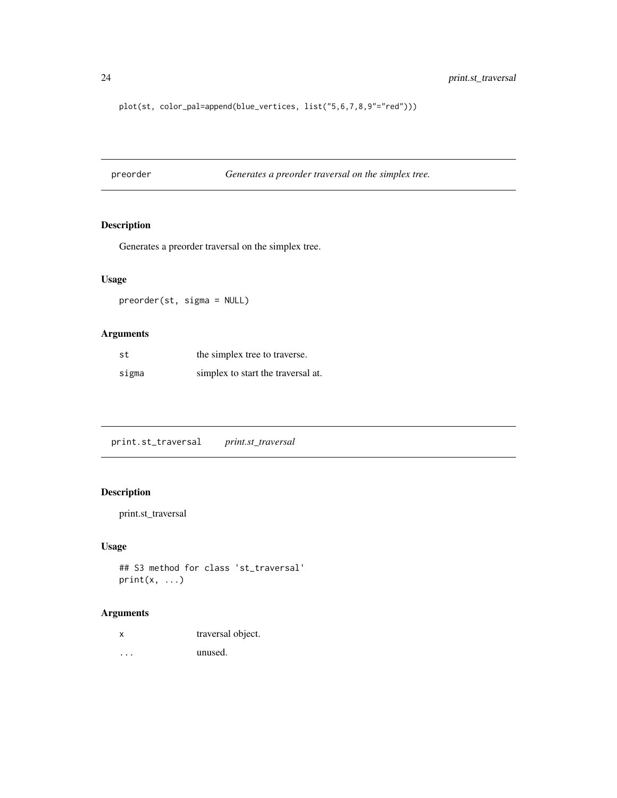<span id="page-23-0"></span>plot(st, color\_pal=append(blue\_vertices, list("5,6,7,8,9"="red")))

<span id="page-23-1"></span>preorder *Generates a preorder traversal on the simplex tree.*

### Description

Generates a preorder traversal on the simplex tree.

### Usage

preorder(st, sigma = NULL)

### Arguments

| st    | the simplex tree to traverse.      |
|-------|------------------------------------|
| sigma | simplex to start the traversal at. |

print.st\_traversal *print.st\_traversal*

### Description

print.st\_traversal

#### Usage

```
## S3 method for class 'st_traversal'
print(x, \ldots)
```
### Arguments

| traversal object. |  |
|-------------------|--|
|                   |  |

... unused.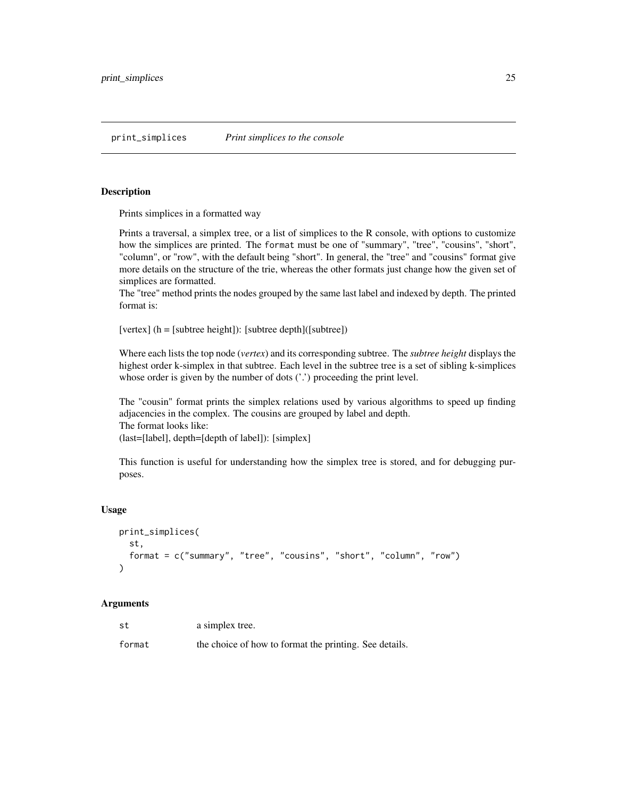<span id="page-24-0"></span>print\_simplices *Print simplices to the console*

#### **Description**

Prints simplices in a formatted way

Prints a traversal, a simplex tree, or a list of simplices to the R console, with options to customize how the simplices are printed. The format must be one of "summary", "tree", "cousins", "short", "column", or "row", with the default being "short". In general, the "tree" and "cousins" format give more details on the structure of the trie, whereas the other formats just change how the given set of simplices are formatted.

The "tree" method prints the nodes grouped by the same last label and indexed by depth. The printed format is:

[vertex]  $(h = [subtree height])$ : [subtree depth] $([subtree])$ 

Where each lists the top node (*vertex*) and its corresponding subtree. The *subtree height* displays the highest order k-simplex in that subtree. Each level in the subtree tree is a set of sibling k-simplices whose order is given by the number of dots ('.') proceeding the print level.

The "cousin" format prints the simplex relations used by various algorithms to speed up finding adjacencies in the complex. The cousins are grouped by label and depth. The format looks like: (last=[label], depth=[depth of label]): [simplex]

This function is useful for understanding how the simplex tree is stored, and for debugging purposes.

#### Usage

```
print_simplices(
  st,
  format = c("summary", "tree", "cousins", "short", "column", "row")
\lambda
```

| st     | a simplex tree.                                        |
|--------|--------------------------------------------------------|
| format | the choice of how to format the printing. See details. |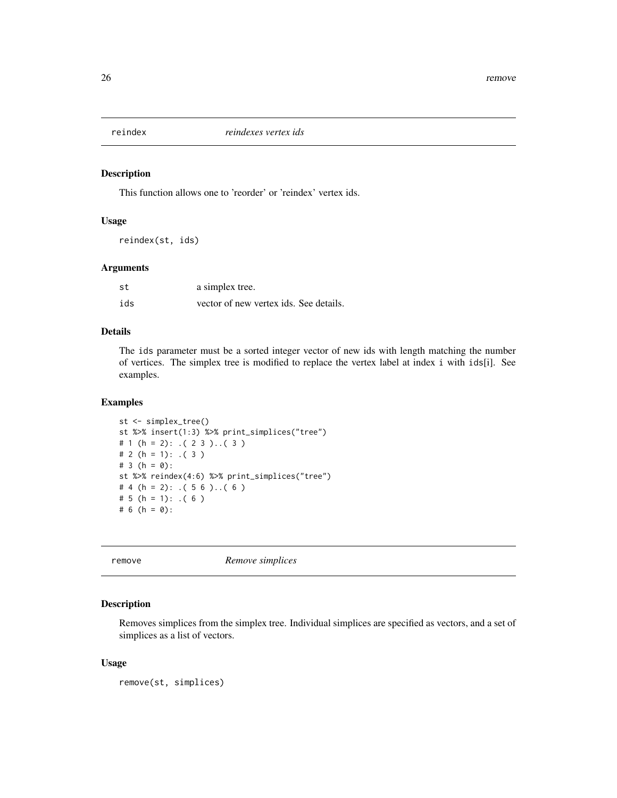<span id="page-25-0"></span>

This function allows one to 'reorder' or 'reindex' vertex ids.

### Usage

reindex(st, ids)

#### Arguments

| st  | a simplex tree.                        |
|-----|----------------------------------------|
| ids | vector of new vertex ids. See details. |

#### Details

The ids parameter must be a sorted integer vector of new ids with length matching the number of vertices. The simplex tree is modified to replace the vertex label at index i with ids[i]. See examples.

### Examples

```
st <- simplex_tree()
st %>% insert(1:3) %>% print_simplices("tree")
# 1 (h = 2): .( 2 3 )..( 3 )
# 2 (h = 1): (3)# 3 (h = 0):
st %>% reindex(4:6) %>% print_simplices("tree")
# 4 (h = 2): (56). (6)
# 5 (h = 1): (6)# 6 (h = 0):
```
<span id="page-25-1"></span>remove *Remove simplices*

### Description

Removes simplices from the simplex tree. Individual simplices are specified as vectors, and a set of simplices as a list of vectors.

#### Usage

remove(st, simplices)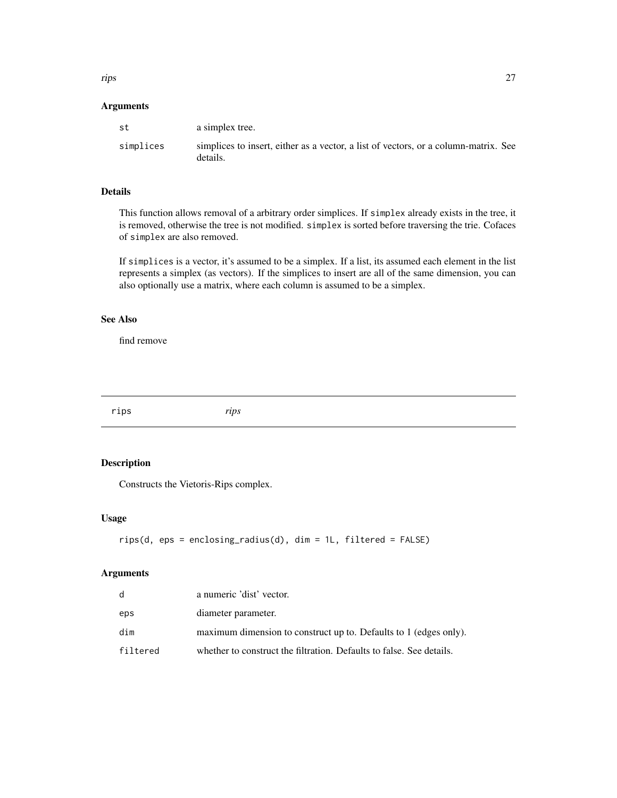<span id="page-26-0"></span>rips 27

### Arguments

| st        | a simplex tree.                                                                                 |
|-----------|-------------------------------------------------------------------------------------------------|
| simplices | simplices to insert, either as a vector, a list of vectors, or a column-matrix. See<br>details. |

### Details

This function allows removal of a arbitrary order simplices. If simplex already exists in the tree, it is removed, otherwise the tree is not modified. simplex is sorted before traversing the trie. Cofaces of simplex are also removed.

If simplices is a vector, it's assumed to be a simplex. If a list, its assumed each element in the list represents a simplex (as vectors). If the simplices to insert are all of the same dimension, you can also optionally use a matrix, where each column is assumed to be a simplex.

#### See Also

find remove

rips *rips*

### Description

Constructs the Vietoris-Rips complex.

#### Usage

```
rips(d, eps = enclosing_radius(d), dim = 1L, filtered = FALSE)
```

| d        | a numeric 'dist' vector.                                             |
|----------|----------------------------------------------------------------------|
| eps      | diameter parameter.                                                  |
| dim      | maximum dimension to construct up to. Defaults to 1 (edges only).    |
| filtered | whether to construct the filtration. Defaults to false. See details. |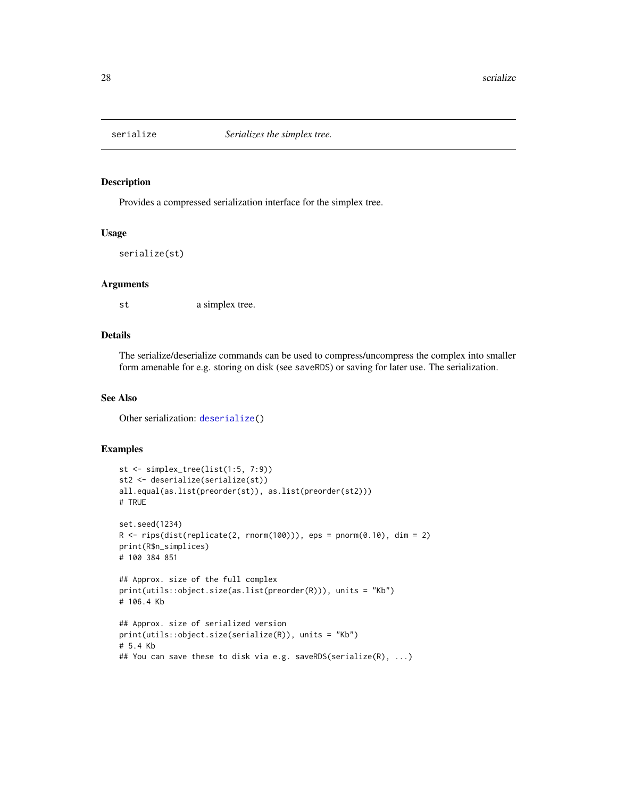<span id="page-27-1"></span><span id="page-27-0"></span>

Provides a compressed serialization interface for the simplex tree.

#### Usage

```
serialize(st)
```
#### Arguments

st a simplex tree.

#### Details

The serialize/deserialize commands can be used to compress/uncompress the complex into smaller form amenable for e.g. storing on disk (see saveRDS) or saving for later use. The serialization.

### See Also

Other serialization: [deserialize\(](#page-7-1))

```
st <- simplex_tree(list(1:5, 7:9))
st2 <- deserialize(serialize(st))
all.equal(as.list(preorder(st)), as.list(preorder(st2)))
# TRUE
set.seed(1234)
R \leq rips(dist(replied 2, rnorm(100))), eps = pnorm(0.10), dim = 2)print(R$n_simplices)
# 100 384 851
## Approx. size of the full complex
print(utils::object.size(as.list(preorder(R))), units = "Kb")
# 106.4 Kb
## Approx. size of serialized version
print(utils::object.size(serialize(R)), units = "Kb")
# 5.4 Kb
## You can save these to disk via e.g. saveRDS(serialize(R), ...)
```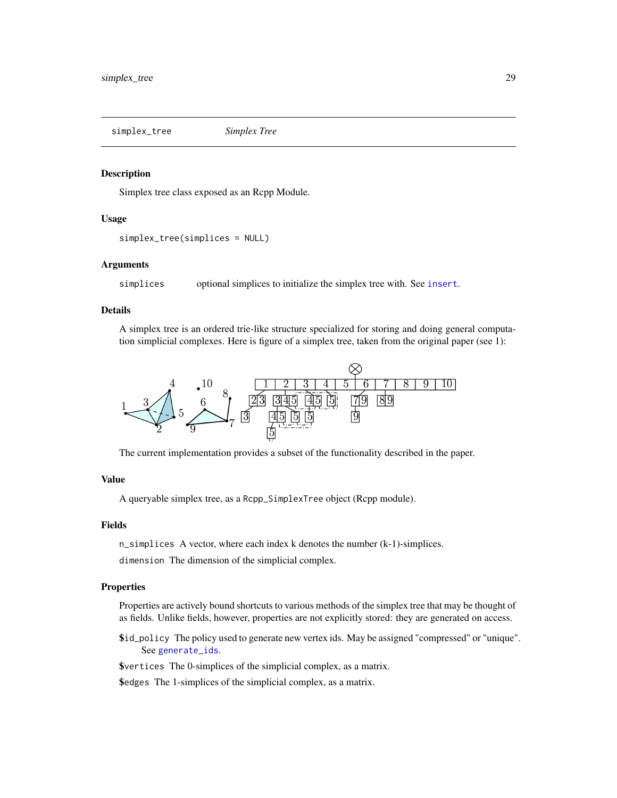<span id="page-28-0"></span>simplex\_tree *Simplex Tree*

#### Description

Simplex tree class exposed as an Rcpp Module.

#### Usage

```
simplex_tree(simplices = NULL)
```
### Arguments

simplices optional simplices to initialize the simplex tree with. See [insert](#page-12-1).

#### Details

A simplex tree is an ordered trie-like structure specialized for storing and doing general computation simplicial complexes. Here is figure of a simplex tree, taken from the original paper (see 1):



The current implementation provides a subset of the functionality described in the paper.

### Value

A queryable simplex tree, as a Rcpp\_SimplexTree object (Rcpp module).

#### Fields

n\_simplices A vector, where each index k denotes the number (k-1)-simplices.

dimension The dimension of the simplicial complex.

### **Properties**

Properties are actively bound shortcuts to various methods of the simplex tree that may be thought of as fields. Unlike fields, however, properties are not explicitly stored: they are generated on access.

\$id\_policy The policy used to generate new vertex ids. May be assigned "compressed" or "unique". See [generate\\_ids](#page-11-1).

\$vertices The 0-simplices of the simplicial complex, as a matrix.

\$edges The 1-simplices of the simplicial complex, as a matrix.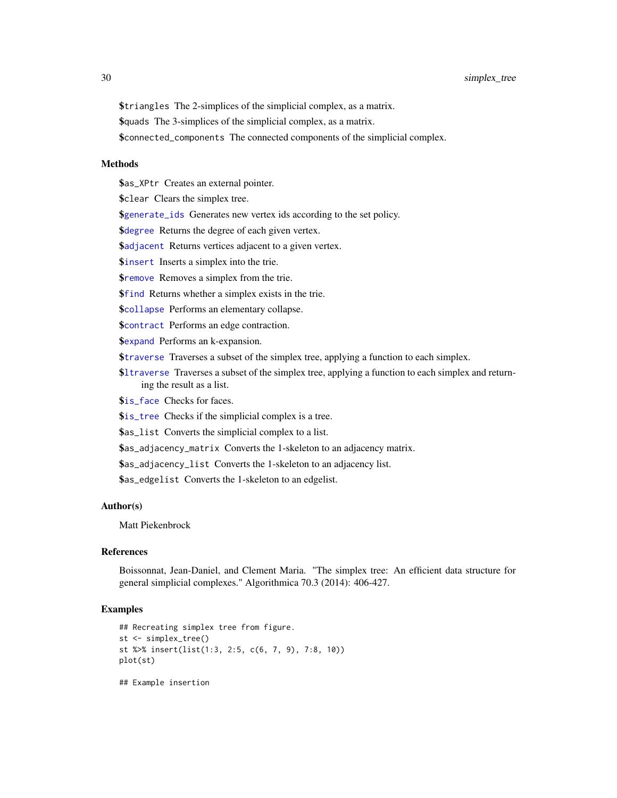<span id="page-29-0"></span>\$triangles The 2-simplices of the simplicial complex, as a matrix.

\$quads The 3-simplices of the simplicial complex, as a matrix.

\$connected\_components The connected components of the simplicial complex.

#### Methods

\$as\_XPtr Creates an external pointer.

\$clear Clears the simplex tree.

\$[generate\\_ids](#page-11-1) Generates new vertex ids according to the set policy.

**\$[degree](#page-7-2)** Returns the degree of each given vertex.

\$[adjacent](#page-2-1) Returns vertices adjacent to a given vertex.

\$[insert](#page-12-1) Inserts a simplex into the trie.

**\$[remove](#page-25-1)** Removes a simplex from the trie.

\$[find](#page-10-1) Returns whether a simplex exists in the trie.

\$[collapse](#page-5-1) Performs an elementary collapse.

**\$[contract](#page-6-1)** Performs an edge contraction.

\$[expand](#page-9-1) Performs an k-expansion.

\$[traverse](#page-31-2) Traverses a subset of the simplex tree, applying a function to each simplex.

\$[ltraverse](#page-31-1) Traverses a subset of the simplex tree, applying a function to each simplex and returning the result as a list.

*<u>Sis</u>* face Checks for faces.

\$[is\\_tree](#page-15-1) Checks if the simplicial complex is a tree.

\$as\_list Converts the simplicial complex to a list.

\$as\_adjacency\_matrix Converts the 1-skeleton to an adjacency matrix.

\$as\_adjacency\_list Converts the 1-skeleton to an adjacency list.

\$as\_edgelist Converts the 1-skeleton to an edgelist.

#### Author(s)

Matt Piekenbrock

#### References

Boissonnat, Jean-Daniel, and Clement Maria. "The simplex tree: An efficient data structure for general simplicial complexes." Algorithmica 70.3 (2014): 406-427.

#### Examples

```
## Recreating simplex tree from figure.
st <- simplex_tree()
st %>% insert(list(1:3, 2:5, c(6, 7, 9), 7:8, 10))
plot(st)
```
## Example insertion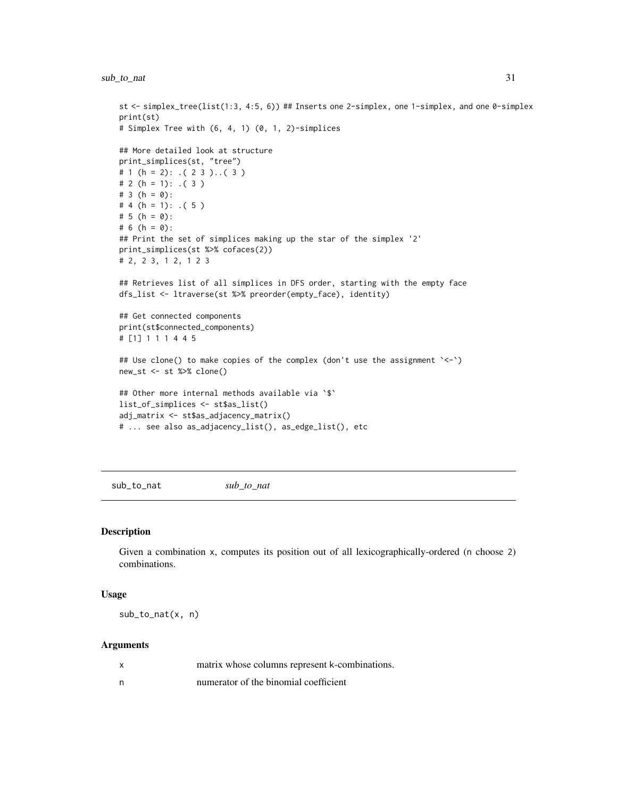### <span id="page-30-0"></span>sub\_to\_nat 31

```
st <- simplex_tree(list(1:3, 4:5, 6)) ## Inserts one 2-simplex, one 1-simplex, and one 0-simplex
print(st)
# Simplex Tree with (6, 4, 1) (0, 1, 2)-simplices
## More detailed look at structure
print_simplices(st, "tree")
# 1 (h = 2): (23). (3)# 2 (h = 1): .(3)
# 3 (h = 0):
# 4 (h = 1): (5)# 5 (h = 0):
# 6 (h = 0):
## Print the set of simplices making up the star of the simplex '2'
print_simplices(st %>% cofaces(2))
# 2, 2 3, 1 2, 1 2 3
## Retrieves list of all simplices in DFS order, starting with the empty face
dfs_list <- ltraverse(st %>% preorder(empty_face), identity)
## Get connected components
print(st$connected_components)
# [1] 1 1 1 4 4 5
## Use clone() to make copies of the complex (don't use the assignment '<-')
new_st <- st %>% clone()
## Other more internal methods available via `$`
list_of_simplices <- st$as_list()
adj_matrix <- st$as_adjacency_matrix()
# ... see also as_adjacency_list(), as_edge_list(), etc
```
sub\_to\_nat *sub\_to\_nat*

#### Description

Given a combination x, computes its position out of all lexicographically-ordered (n choose 2) combinations.

#### Usage

 $sub_to_nat(x, n)$ 

| x | matrix whose columns represent k-combinations. |
|---|------------------------------------------------|
| n | numerator of the binomial coefficient          |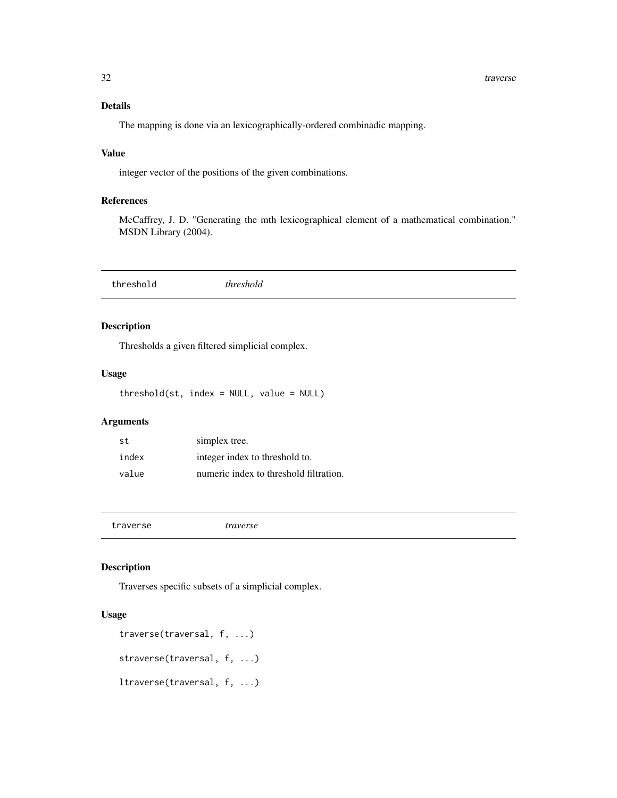### <span id="page-31-0"></span>Details

The mapping is done via an lexicographically-ordered combinadic mapping.

### Value

integer vector of the positions of the given combinations.

### References

McCaffrey, J. D. "Generating the mth lexicographical element of a mathematical combination." MSDN Library (2004).

### Description

Thresholds a given filtered simplicial complex.

#### Usage

threshold(st, index = NULL, value = NULL)

### Arguments

| st    | simplex tree.                          |
|-------|----------------------------------------|
| index | integer index to threshold to.         |
| value | numeric index to threshold filtration. |

<span id="page-31-2"></span>traverse *traverse*

### <span id="page-31-1"></span>Description

Traverses specific subsets of a simplicial complex.

### Usage

```
traverse(traversal, f, ...)
straverse(traversal, f, ...)
ltraverse(traversal, f, ...)
```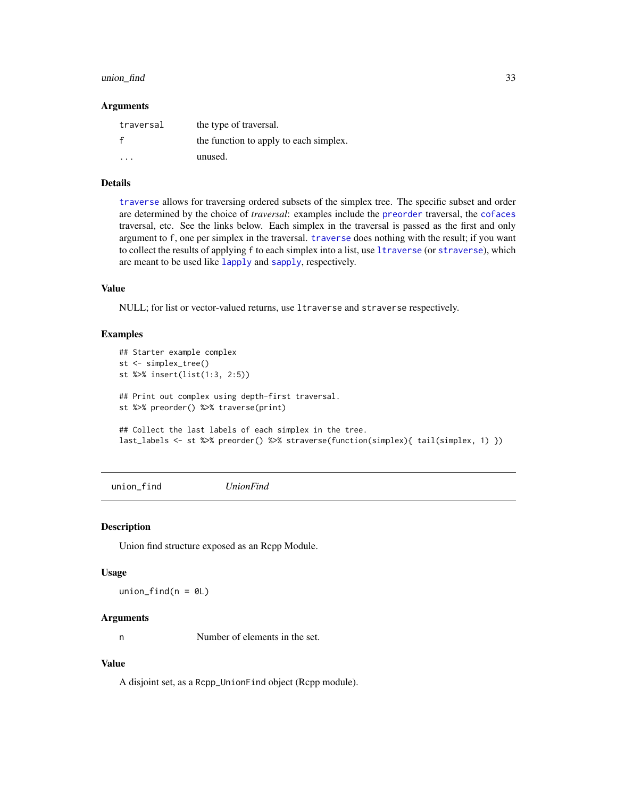#### <span id="page-32-0"></span>union\_find 33

#### Arguments

| traversal | the type of traversal.                 |
|-----------|----------------------------------------|
|           | the function to apply to each simplex. |
| $\cdot$   | unused.                                |

#### Details

[traverse](#page-31-2) allows for traversing ordered subsets of the simplex tree. The specific subset and order are determined by the choice of *traversal*: examples include the [preorder](#page-23-1) traversal, the [cofaces](#page-4-1) traversal, etc. See the links below. Each simplex in the traversal is passed as the first and only argument to f, one per simplex in the traversal. [traverse](#page-31-2) does nothing with the result; if you want to collect the results of applying f to each simplex into a list, use [ltraverse](#page-31-1) (or [straverse](#page-31-1)), which are meant to be used like [lapply](#page-0-0) and [sapply](#page-0-0), respectively.

### Value

NULL; for list or vector-valued returns, use ltraverse and straverse respectively.

#### Examples

```
## Starter example complex
st <- simplex_tree()
st %>% insert(list(1:3, 2:5))
## Print out complex using depth-first traversal.
st %>% preorder() %>% traverse(print)
## Collect the last labels of each simplex in the tree.
last_labels <- st %>% preorder() %>% straverse(function(simplex){ tail(simplex, 1) })
```
union\_find *UnionFind*

Union find structure exposed as an Rcpp Module.

#### Usage

union\_find( $n = 0$ L)

#### Arguments

Description

n Number of elements in the set.

#### Value

A disjoint set, as a Rcpp\_UnionFind object (Rcpp module).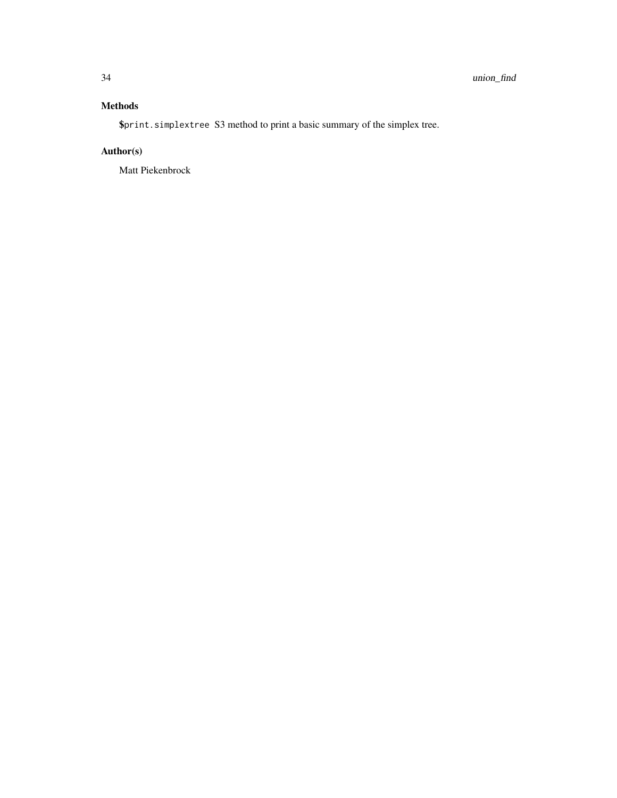### Methods

\$print.simplextree S3 method to print a basic summary of the simplex tree.

## Author(s)

Matt Piekenbrock